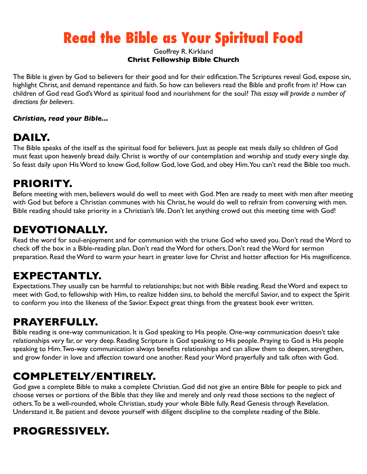# **Read the Bible as Your Spiritual Food**

#### Geoffrey R. Kirkland **Christ Fellowship Bible Church**

The Bible is given by God to believers for their good and for their edification. The Scriptures reveal God, expose sin, highlight Christ, and demand repentance and faith. So how can believers read the Bible and profit from it? How can children of God read God's Word as spiritual food and nourishment for the soul? *This essay will provide a number of directions for believers*.

#### *Christian, read your Bible...*

### **DAILY.**

The Bible speaks of the itself as the spiritual food for believers. Just as people eat meals daily so children of God must feast upon heavenly bread daily. Christ is worthy of our contemplation and worship and study every single day. So feast daily upon His Word to know God, follow God, love God, and obey Him. You can't read the Bible too much.

#### **PRIORITY.**

Before meeting with men, believers would do well to meet with God. Men are ready to meet with men after meeting with God but before a Christian communes with his Christ, he would do well to refrain from conversing with men. Bible reading should take priority in a Christian's life. Don't let anything crowd out this meeting time with God!

#### **DEVOTIONALLY.**

Read the word for soul-enjoyment and for communion with the triune God who saved you. Don't read the Word to check off the box in a Bible-reading plan. Don't read the Word for others. Don't read the Word for sermon preparation. Read the Word to warm your heart in greater love for Christ and hotter affection for His magnificence.

#### **EXPECTANTLY.**

Expectations. They usually can be harmful to relationships; but not with Bible reading. Read the Word and expect to meet with God, to fellowship with Him, to realize hidden sins, to behold the merciful Savior, and to expect the Spirit to conform you into the likeness of the Savior. Expect great things from the greatest book ever written.

# **PRAYERFULLY.**

Bible reading is one-way communication. It is God speaking to His people. One-way communication doesn't take relationships very far, or very deep. Reading Scripture is God speaking to His people. Praying to God is His people speaking to Him. Two-way communication always benefits relationships and can allow them to deepen, strengthen, and grow fonder in love and affection toward one another. Read your Word prayerfully and talk often with God.

# **COMPLETELY/ENTIRELY.**

God gave a complete Bible to make a complete Christian. God did not give an entire Bible for people to pick and choose verses or portions of the Bible that they like and merely and only read those sections to the neglect of others. To be a well-rounded, whole Christian, study your whole Bible fully. Read Genesis through Revelation. Understand it. Be patient and devote yourself with diligent discipline to the complete reading of the Bible.

# **PROGRESSIVELY.**